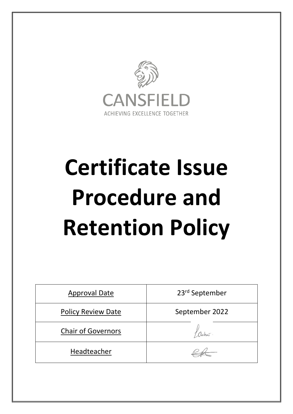

# **Certificate Issue Procedure and Retention Policy**

| <b>Approval Date</b>      | 23rd September |
|---------------------------|----------------|
| <b>Policy Review Date</b> | September 2022 |
| <b>Chair of Governors</b> |                |
| Headteacher               |                |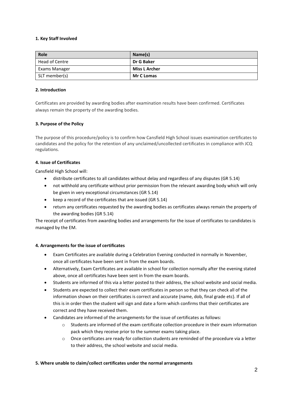### **1. Key Staff Involved**

| Role           | Name(s)              |
|----------------|----------------------|
| Head of Centre | Dr G Baker           |
| Exams Manager  | <b>Miss L Archer</b> |
| SLT member(s)  | <b>Mr C Lomas</b>    |

# **2. Introduction**

Certificates are provided by awarding bodies after examination results have been confirmed. Certificates always remain the property of the awarding bodies.

# **3. Purpose of the Policy**

The purpose of this procedure/policy is to confirm how Cansfield High School issues examination certificates to candidates and the policy for the retention of any unclaimed/uncollected certificates in compliance with JCQ regulations.

# **4. Issue of Certificates**

Cansfield High School will:

- distribute certificates to all candidates without delay and regardless of any disputes (GR 5.14)
- not withhold any certificate without prior permission from the relevant awarding body which will only be given in very exceptional circumstances (GR 5.14)
- keep a record of the certificates that are issued (GR 5.14)
- return any certificates requested by the awarding bodies as certificates always remain the property of the awarding bodies (GR 5.14)

The receipt of certificates from awarding bodies and arrangements for the issue of certificates to candidates is managed by the EM.

# **4. Arrangements for the issue of certificates**

- Exam Certificates are available during a Celebration Evening conducted in normally in November, once all certificates have been sent in from the exam boards.
- Alternatively, Exam Certificates are available in school for collection normally after the evening stated above, once all certificates have been sent in from the exam boards.
- Students are informed of this via a letter posted to their address, the school website and social media.
- Students are expected to collect their exam certificates in person so that they can check all of the information shown on their certificates is correct and accurate (name, dob, final grade etc). If all of this is in order then the student will sign and date a form which confirms that their certificates are correct and they have received them.
- Candidates are informed of the arrangements for the issue of certificates as follows:
	- o Students are informed of the exam certificate collection procedure in their exam information pack which they receive prior to the summer exams taking place.
	- $\circ$  Once certificates are ready for collection students are reminded of the procedure via a letter to their address, the school website and social media.

### **5. Where unable to claim/collect certificates under the normal arrangements**